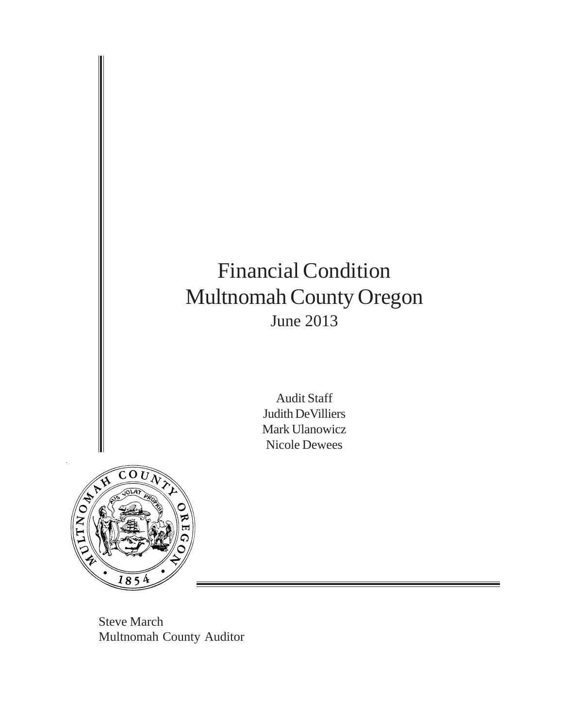# Financial Condition Multnomah County Oregon June 2013

Audit Staff Judith DeVilliers Mark Ulanowicz Nicole Dewees



Steve March Multnomah County Auditor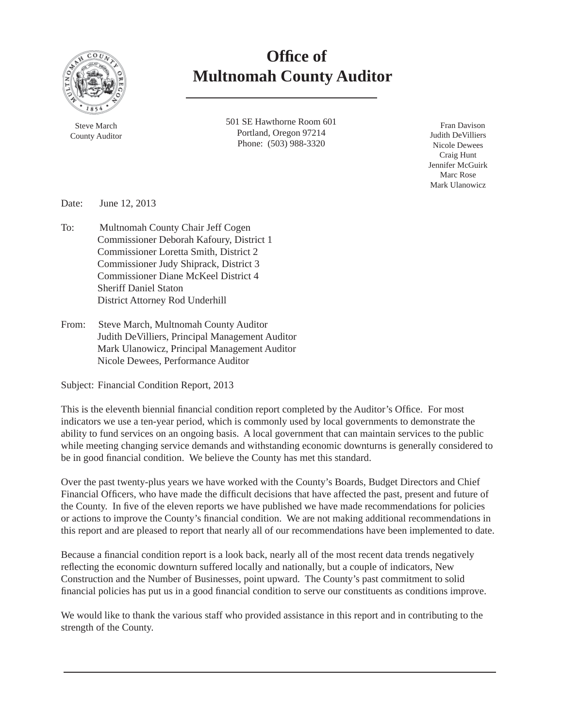

 **Offi ce of Multnomah County Auditor**

> 501 SE Hawthorne Room 601 Portland, Oregon 97214 Phone: (503) 988-3320

 Fran Davison Judith DeVilliers Nicole Dewees Craig Hunt Jennifer McGuirk Marc Rose Mark Ulanowicz

Date: June 12, 2013

- To: Multnomah County Chair Jeff Cogen Commissioner Deborah Kafoury, District 1 Commissioner Loretta Smith, District 2 Commissioner Judy Shiprack, District 3 Commissioner Diane McKeel District 4 Sheriff Daniel Staton District Attorney Rod Underhill
- From: Steve March, Multnomah County Auditor Judith DeVilliers, Principal Management Auditor Mark Ulanowicz, Principal Management Auditor Nicole Dewees, Performance Auditor

Subject: Financial Condition Report, 2013

This is the eleventh biennial financial condition report completed by the Auditor's Office. For most indicators we use a ten-year period, which is commonly used by local governments to demonstrate the ability to fund services on an ongoing basis. A local government that can maintain services to the public while meeting changing service demands and withstanding economic downturns is generally considered to be in good financial condition. We believe the County has met this standard.

Over the past twenty-plus years we have worked with the County's Boards, Budget Directors and Chief Financial Officers, who have made the difficult decisions that have affected the past, present and future of the County. In five of the eleven reports we have published we have made recommendations for policies or actions to improve the County's financial condition. We are not making additional recommendations in this report and are pleased to report that nearly all of our recommendations have been implemented to date.

Because a financial condition report is a look back, nearly all of the most recent data trends negatively reflecting the economic downturn suffered locally and nationally, but a couple of indicators, New Construction and the Number of Businesses, point upward. The County's past commitment to solid financial policies has put us in a good financial condition to serve our constituents as conditions improve.

We would like to thank the various staff who provided assistance in this report and in contributing to the strength of the County.

Steve March County Auditor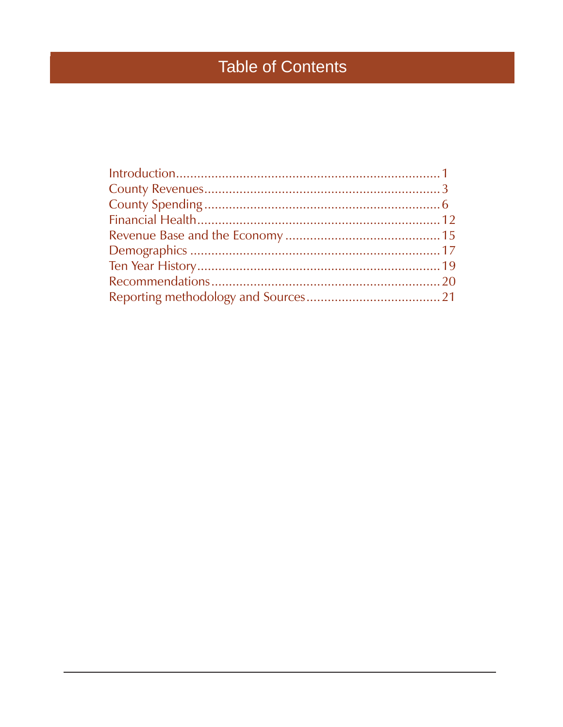# **Table of Contents**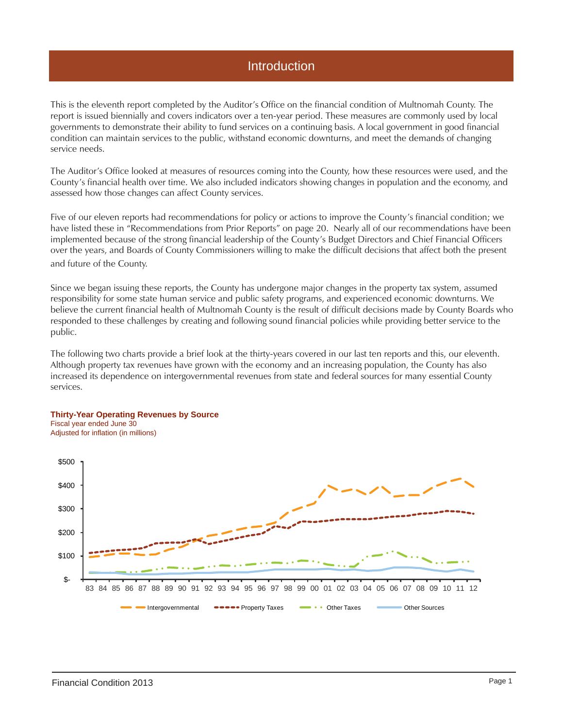### Introduction

This is the eleventh report completed by the Auditor's Office on the financial condition of Multnomah County. The report is issued biennially and covers indicators over a ten-year period. These measures are commonly used by local governments to demonstrate their ability to fund services on a continuing basis. A local government in good financial condition can maintain services to the public, withstand economic downturns, and meet the demands of changing service needs.

The Auditor's Office looked at measures of resources coming into the County, how these resources were used, and the County's financial health over time. We also included indicators showing changes in population and the economy, and assessed how those changes can affect County services.

Five of our eleven reports had recommendations for policy or actions to improve the County's financial condition; we have listed these in "Recommendations from Prior Reports" on page 20. Nearly all of our recommendations have been implemented because of the strong financial leadership of the County's Budget Directors and Chief Financial Officers over the years, and Boards of County Commissioners willing to make the difficult decisions that affect both the present and future of the County.

Since we began issuing these reports, the County has undergone major changes in the property tax system, assumed responsibility for some state human service and public safety programs, and experienced economic downturns. We believe the current financial health of Multnomah County is the result of difficult decisions made by County Boards who responded to these challenges by creating and following sound financial policies while providing better service to the public.

The following two charts provide a brief look at the thirty-years covered in our last ten reports and this, our eleventh. Although property tax revenues have grown with the economy and an increasing population, the County has also increased its dependence on intergovernmental revenues from state and federal sources for many essential County services.

#### **Thirty-Year Operating Revenues by Source** Fiscal year ended June 30 Adjusted for inflation (in millions)

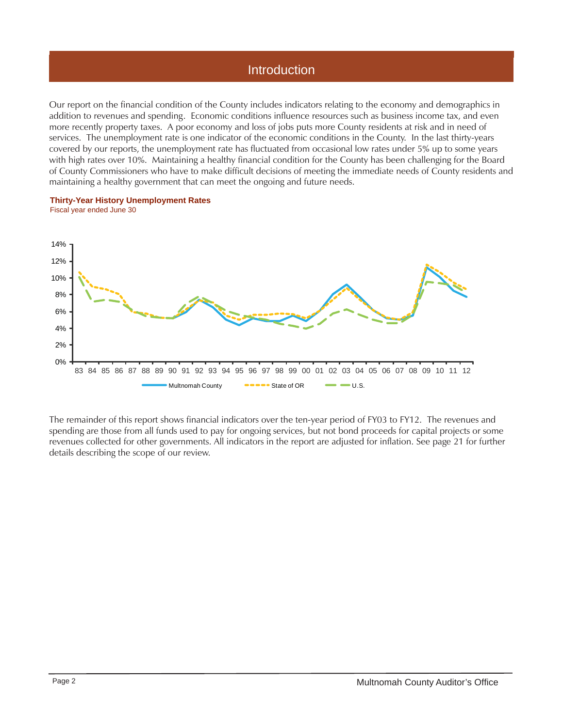## **Introduction**

Our report on the financial condition of the County includes indicators relating to the economy and demographics in addition to revenues and spending. Economic conditions influence resources such as business income tax, and even more recently property taxes. A poor economy and loss of jobs puts more County residents at risk and in need of services. The unemployment rate is one indicator of the economic conditions in the County. In the last thirty-years covered by our reports, the unemployment rate has fluctuated from occasional low rates under 5% up to some years with high rates over 10%. Maintaining a healthy financial condition for the County has been challenging for the Board of County Commissioners who have to make difficult decisions of meeting the immediate needs of County residents and maintaining a healthy government that can meet the ongoing and future needs.





The remainder of this report shows financial indicators over the ten-year period of FY03 to FY12. The revenues and spending are those from all funds used to pay for ongoing services, but not bond proceeds for capital projects or some revenues collected for other governments. All indicators in the report are adjusted for inflation. See page 21 for further details describing the scope of our review.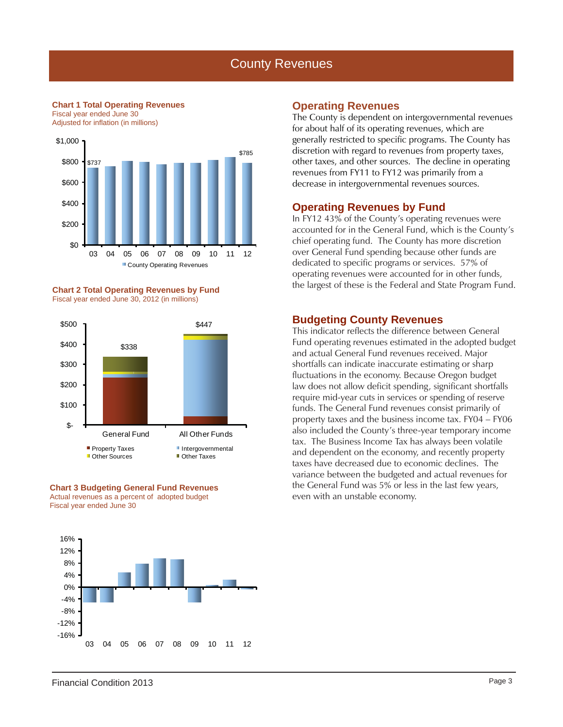### County Revenues

**Chart 1 Total Operating Revenues** Fiscal year ended June 30

Adjusted for inflation (in millions)



**Chart 2 Total Operating Revenues by Fund** Fiscal year ended June 30, 2012 (in millions)







#### **Operating Revenues**

The County is dependent on intergovernmental revenues for about half of its operating revenues, which are generally restricted to specific programs. The County has discretion with regard to revenues from property taxes, other taxes, and other sources. The decline in operating revenues from FY11 to FY12 was primarily from a decrease in intergovernmental revenues sources.

### **Operating Revenues by Fund**

In FY12 43% of the County's operating revenues were accounted for in the General Fund, which is the County's chief operating fund. The County has more discretion over General Fund spending because other funds are dedicated to specific programs or services. 57% of operating revenues were accounted for in other funds, the largest of these is the Federal and State Program Fund.

### **Budgeting County Revenues**

This indicator reflects the difference between General Fund operating revenues estimated in the adopted budget and actual General Fund revenues received. Major shortfalls can indicate inaccurate estimating or sharp fluctuations in the economy. Because Oregon budget law does not allow deficit spending, significant shortfalls require mid-year cuts in services or spending of reserve funds. The General Fund revenues consist primarily of property taxes and the business income tax. FY04 – FY06 also included the County's three-year temporary income tax. The Business Income Tax has always been volatile and dependent on the economy, and recently property taxes have decreased due to economic declines. The variance between the budgeted and actual revenues for the General Fund was 5% or less in the last few years, even with an unstable economy.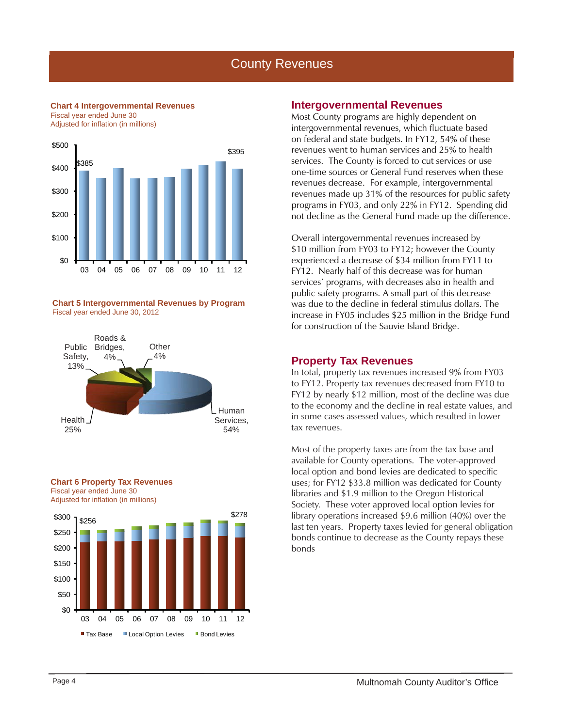## County Revenues

**Chart 4 Intergovernmental Revenues** Fiscal year ended June 30

Adjusted for inflation (in millions)



**Chart 5 Intergovernmental Revenues by Program** Fiscal year ended June 30, 2012







#### **Intergovernmental Revenues**

Most County programs are highly dependent on intergovernmental revenues, which fluctuate based on federal and state budgets. In FY12, 54% of these revenues went to human services and 25% to health services. The County is forced to cut services or use one-time sources or General Fund reserves when these revenues decrease. For example, intergovernmental revenues made up 31% of the resources for public safety programs in FY03, and only 22% in FY12. Spending did not decline as the General Fund made up the difference.

Overall intergovernmental revenues increased by \$10 million from FY03 to FY12; however the County experienced a decrease of \$34 million from FY11 to FY12. Nearly half of this decrease was for human services' programs, with decreases also in health and public safety programs. A small part of this decrease was due to the decline in federal stimulus dollars. The increase in FY05 includes \$25 million in the Bridge Fund for construction of the Sauvie Island Bridge.

### **Property Tax Revenues**

In total, property tax revenues increased 9% from FY03 to FY12. Property tax revenues decreased from FY10 to FY12 by nearly \$12 million, most of the decline was due to the economy and the decline in real estate values, and in some cases assessed values, which resulted in lower tax revenues.

Most of the property taxes are from the tax base and available for County operations. The voter-approved local option and bond levies are dedicated to specific uses; for FY12 \$33.8 million was dedicated for County libraries and \$1.9 million to the Oregon Historical Society. These voter approved local option levies for library operations increased \$9.6 million (40%) over the last ten years. Property taxes levied for general obligation bonds continue to decrease as the County repays these bonds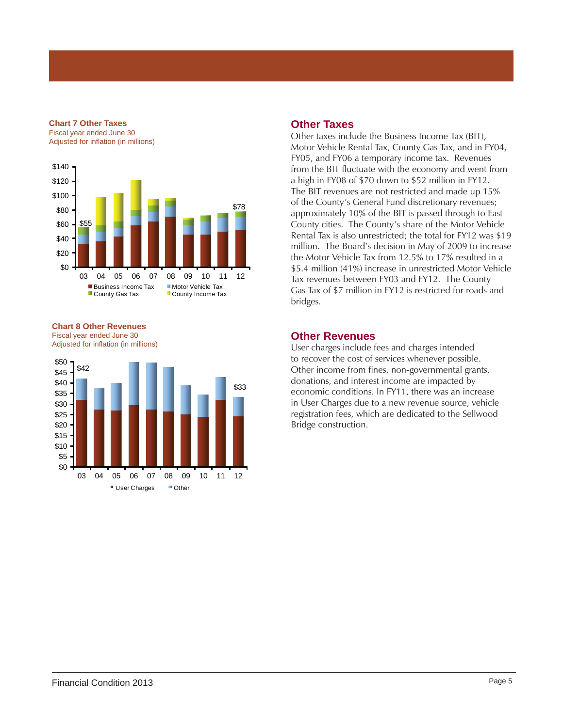#### **Chart 7 Other Taxes**

Fiscal year ended June 30 Adjusted for inflation (in millions)



**Chart 8 Other Revenues** Fiscal year ended June 30 Adjusted for inflation (in millions)



### **Other Taxes**

Other taxes include the Business Income Tax (BIT), Motor Vehicle Rental Tax, County Gas Tax, and in FY04, FY05, and FY06 a temporary income tax. Revenues from the BIT fluctuate with the economy and went from a high in FY08 of \$70 down to \$52 million in FY12. The BIT revenues are not restricted and made up 15% of the County's General Fund discretionary revenues; approximately 10% of the BIT is passed through to East County cities. The County's share of the Motor Vehicle Rental Tax is also unrestricted; the total for FY12 was \$19 million. The Board's decision in May of 2009 to increase the Motor Vehicle Tax from 12.5% to 17% resulted in a \$5.4 million (41%) increase in unrestricted Motor Vehicle Tax revenues between FY03 and FY12. The County Gas Tax of \$7 million in FY12 is restricted for roads and bridges.

### **Other Revenues**

User charges include fees and charges intended to recover the cost of services whenever possible. Other income from fines, non-governmental grants, donations, and interest income are impacted by economic conditions. In FY11, there was an increase in User Charges due to a new revenue source, vehicle registration fees, which are dedicated to the Sellwood Bridge construction.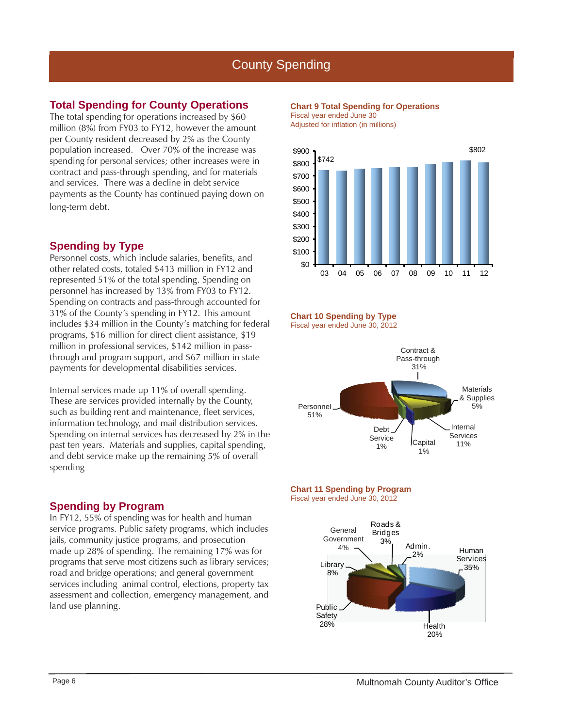### **Total Spending for County Operations**

The total spending for operations increased by \$60 million (8%) from FY03 to FY12, however the amount per County resident decreased by 2% as the County population increased. Over 70% of the increase was spending for personal services; other increases were in contract and pass-through spending, and for materials and services. There was a decline in debt service payments as the County has continued paying down on long-term debt.

### **Spending by Type**

Personnel costs, which include salaries, benefits, and other related costs, totaled \$413 million in FY12 and represented 51% of the total spending. Spending on personnel has increased by 13% from FY03 to FY12. Spending on contracts and pass-through accounted for 31% of the County's spending in FY12. This amount includes \$34 million in the County's matching for federal programs, \$16 million for direct client assistance, \$19 million in professional services, \$142 million in passthrough and program support, and \$67 million in state payments for developmental disabilities services.

Internal services made up 11% of overall spending. These are services provided internally by the County, such as building rent and maintenance, fleet services, information technology, and mail distribution services. Spending on internal services has decreased by 2% in the past ten years. Materials and supplies, capital spending, and debt service make up the remaining 5% of overall spending

### **Spending by Program**

In FY12, 55% of spending was for health and human service programs. Public safety programs, which includes jails, community justice programs, and prosecution made up 28% of spending. The remaining 17% was for programs that serve most citizens such as library services; road and bridge operations; and general government services including animal control, elections, property tax assessment and collection, emergency management, and land use planning.

#### **Chart 9 Total Spending for Operations** Fiscal year ended June 30

Adjusted for inflation (in millions)



#### **Chart 10 Spending by Type** Fiscal year ended June 30, 2012



#### **Chart 11 Spending by Program** Fiscal year ended June 30, 2012

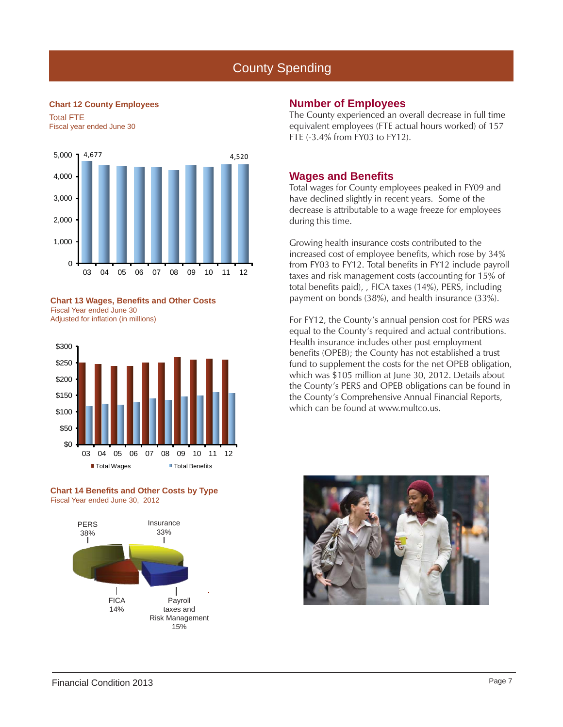#### **Chart 12 County Employees**

Total FTE Fiscal year ended June 30



**Chart 13 Wages, Benefits and Other Costs** Fiscal Year ended June 30 Adjusted for inflation (in millions)



#### **Chart 14 Benefits and Other Costs by Type** Fiscal Year ended June 30, 2012



### **Number of Employees**

The County experienced an overall decrease in full time equivalent employees (FTE actual hours worked) of 157 FTE (-3.4% from FY03 to FY12).

### **Wages and Benefi ts**

Total wages for County employees peaked in FY09 and have declined slightly in recent years. Some of the decrease is attributable to a wage freeze for employees during this time.

Growing health insurance costs contributed to the increased cost of employee benefits, which rose by 34% from FY03 to FY12. Total benefits in FY12 include payroll taxes and risk management costs (accounting for 15% of total benefits paid), , FICA taxes (14%), PERS, including payment on bonds (38%), and health insurance (33%).

For FY12, the County's annual pension cost for PERS was equal to the County's required and actual contributions. Health insurance includes other post employment benefits (OPEB); the County has not established a trust fund to supplement the costs for the net OPEB obligation, which was \$105 million at June 30, 2012. Details about the County's PERS and OPEB obligations can be found in the County's Comprehensive Annual Financial Reports, which can be found at www.multco.us.

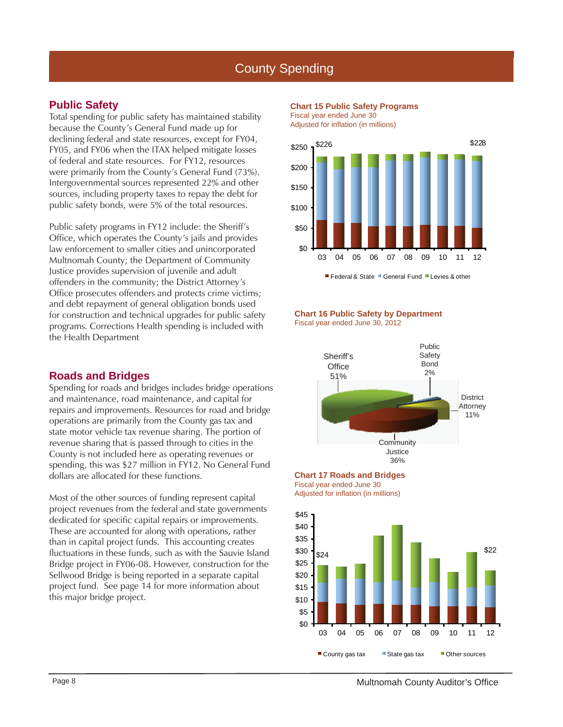### **Public Safety**

Total spending for public safety has maintained stability because the County's General Fund made up for declining federal and state resources, except for FY04, FY05, and FY06 when the ITAX helped mitigate losses of federal and state resources. For FY12, resources were primarily from the County's General Fund (73%). Intergovernmental sources represented 22% and other sources, including property taxes to repay the debt for public safety bonds, were 5% of the total resources.

Public safety programs in FY12 include: the Sheriff's Office, which operates the County's jails and provides law enforcement to smaller cities and unincorporated Multnomah County; the Department of Community Justice provides supervision of juvenile and adult offenders in the community; the District Attorney's Office prosecutes offenders and protects crime victims; and debt repayment of general obligation bonds used for construction and technical upgrades for public safety programs. Corrections Health spending is included with the Health Department

### **Roads and Bridges**

Spending for roads and bridges includes bridge operations and maintenance, road maintenance, and capital for repairs and improvements. Resources for road and bridge operations are primarily from the County gas tax and state motor vehicle tax revenue sharing. The portion of revenue sharing that is passed through to cities in the County is not included here as operating revenues or spending, this was \$27 million in FY12. No General Fund dollars are allocated for these functions.

Most of the other sources of funding represent capital project revenues from the federal and state governments dedicated for specific capital repairs or improvements. These are accounted for along with operations, rather than in capital project funds. This accounting creates fluctuations in these funds, such as with the Sauvie Island Bridge project in FY06-08. However, construction for the Sellwood Bridge is being reported in a separate capital project fund. See page 14 for more information about this major bridge project.







#### **Chart 16 Public Safety by Department** Fiscal year ended June 30, 2012







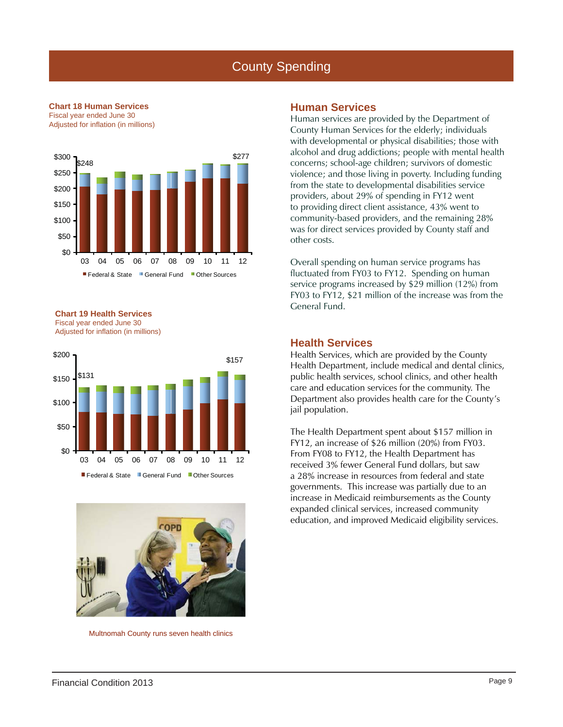

Federal & State General Fund Other Sources

#### **Chart 18 Human Services** Fiscal year ended June 30 Adjusted for inflation (in millions)

#### **Chart 19 Health Services** Fiscal year ended June 30 Adjusted for inflation (in millions)





Multnomah County runs seven health clinics

### **Human Services**

Human services are provided by the Department of County Human Services for the elderly; individuals with developmental or physical disabilities; those with alcohol and drug addictions; people with mental health concerns; school-age children; survivors of domestic violence; and those living in poverty. Including funding from the state to developmental disabilities service providers, about 29% of spending in FY12 went to providing direct client assistance, 43% went to community-based providers, and the remaining 28% was for direct services provided by County staff and other costs.

Overall spending on human service programs has fluctuated from FY03 to FY12. Spending on human service programs increased by \$29 million (12%) from FY03 to FY12, \$21 million of the increase was from the General Fund.

### **Health Services**

Health Services, which are provided by the County Health Department, include medical and dental clinics, public health services, school clinics, and other health care and education services for the community. The Department also provides health care for the County's jail population.

The Health Department spent about \$157 million in FY12, an increase of \$26 million (20%) from FY03. From FY08 to FY12, the Health Department has received 3% fewer General Fund dollars, but saw a 28% increase in resources from federal and state governments. This increase was partially due to an increase in Medicaid reimbursements as the County expanded clinical services, increased community education, and improved Medicaid eligibility services.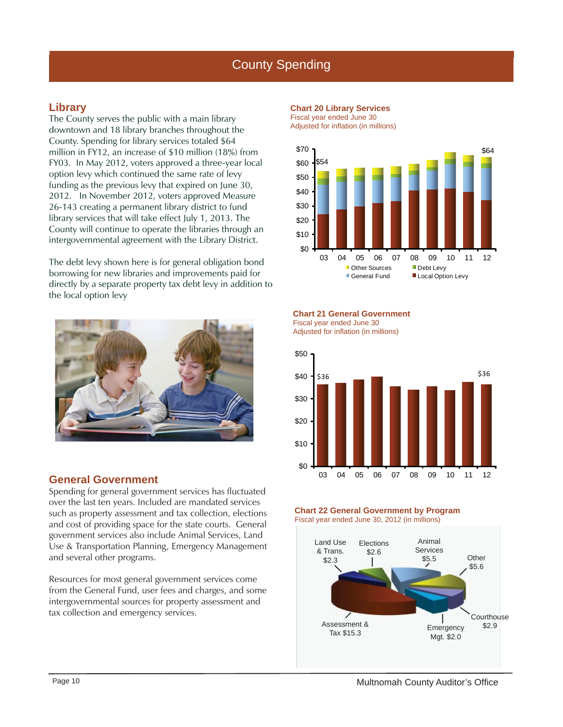### **Library**

The County serves the public with a main library downtown and 18 library branches throughout the County. Spending for library services totaled \$64 million in FY12, an increase of \$10 million (18%) from FY03. In May 2012, voters approved a three-year local option levy which continued the same rate of levy funding as the previous levy that expired on June 30, 2012. In November 2012, voters approved Measure 26-143 creating a permanent library district to fund library services that will take effect July 1, 2013. The County will continue to operate the libraries through an intergovernmental agreement with the Library District.

The debt levy shown here is for general obligation bond borrowing for new libraries and improvements paid for directly by a separate property tax debt levy in addition to the local option levy



### **General Government**

Spending for general government services has fluctuated over the last ten years. Included are mandated services such as property assessment and tax collection, elections and cost of providing space for the state courts. General government services also include Animal Services, Land Use & Transportation Planning, Emergency Management and several other programs.

Resources for most general government services come from the General Fund, user fees and charges, and some intergovernmental sources for property assessment and tax collection and emergency services.



Adjusted for inflation (in millions)



**Chart 21 General Government** Fiscal year ended June 30

Adjusted for inflation (in millions)





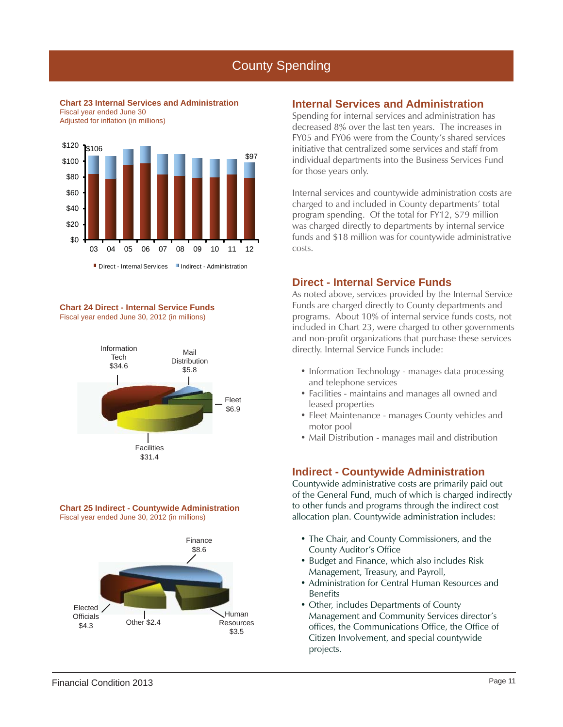**Chart 23 Internal Services and Administration** Fiscal year ended June 30 Adjusted for inflation (in millions)



**Chart 24 Direct - Internal Service Funds** Fiscal year ended June 30, 2012 (in millions)







### **Internal Services and Administration**

Spending for internal services and administration has decreased 8% over the last ten years. The increases in FY05 and FY06 were from the County's shared services initiative that centralized some services and staff from individual departments into the Business Services Fund for those years only.

Internal services and countywide administration costs are charged to and included in County departments' total program spending. Of the total for FY12, \$79 million was charged directly to departments by internal service funds and \$18 million was for countywide administrative costs.

### **Direct - Internal Service Funds**

As noted above, services provided by the Internal Service Funds are charged directly to County departments and programs. About 10% of internal service funds costs, not included in Chart 23, were charged to other governments and non-profit organizations that purchase these services directly. Internal Service Funds include:

- Information Technology manages data processing and telephone services
- Facilities maintains and manages all owned and leased properties
- Fleet Maintenance manages County vehicles and motor pool
- Mail Distribution manages mail and distribution

### **Indirect - Countywide Administration**

Countywide administrative costs are primarily paid out of the General Fund, much of which is charged indirectly to other funds and programs through the indirect cost allocation plan. Countywide administration includes:

- The Chair, and County Commissioners, and the County Auditor's Office
- Budget and Finance, which also includes Risk Management, Treasury, and Payroll,
- Administration for Central Human Resources and Benefits
- Other, includes Departments of County Management and Community Services director's offices, the Communications Office, the Office of Citizen Involvement, and special countywide projects.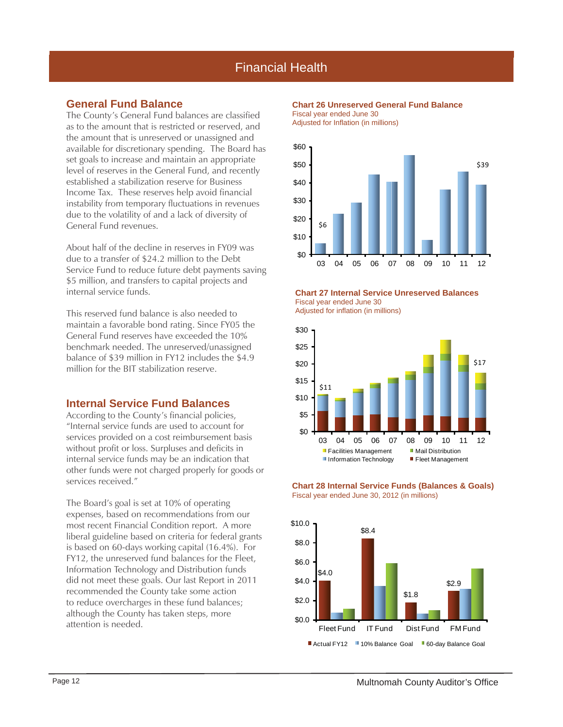## Financial Health

### **General Fund Balance**

The County's General Fund balances are classified as to the amount that is restricted or reserved, and the amount that is unreserved or unassigned and available for discretionary spending. The Board has set goals to increase and maintain an appropriate level of reserves in the General Fund, and recently established a stabilization reserve for Business Income Tax. These reserves help avoid financial instability from temporary fluctuations in revenues due to the volatility of and a lack of diversity of General Fund revenues.

About half of the decline in reserves in FY09 was due to a transfer of \$24.2 million to the Debt Service Fund to reduce future debt payments saving \$5 million, and transfers to capital projects and internal service funds.

This reserved fund balance is also needed to maintain a favorable bond rating. Since FY05 the General Fund reserves have exceeded the 10% benchmark needed. The unreserved/unassigned balance of \$39 million in FY12 includes the \$4.9 million for the BIT stabilization reserve.

### **Internal Service Fund Balances**

According to the County's financial policies, "Internal service funds are used to account for services provided on a cost reimbursement basis without profit or loss. Surpluses and deficits in internal service funds may be an indication that other funds were not charged properly for goods or services received."

The Board's goal is set at 10% of operating expenses, based on recommendations from our most recent Financial Condition report. A more liberal guideline based on criteria for federal grants is based on 60-days working capital (16.4%). For FY12, the unreserved fund balances for the Fleet, Information Technology and Distribution funds did not meet these goals. Our last Report in 2011 recommended the County take some action to reduce overcharges in these fund balances; although the County has taken steps, more attention is needed.

#### **Chart 26 Unreserved General Fund Balance** Fiscal year ended June 30

Adjusted for Inflation (in millions)



**Chart 27 Internal Service Unreserved Balances** Fiscal year ended June 30

Adjusted for inflation (in millions)





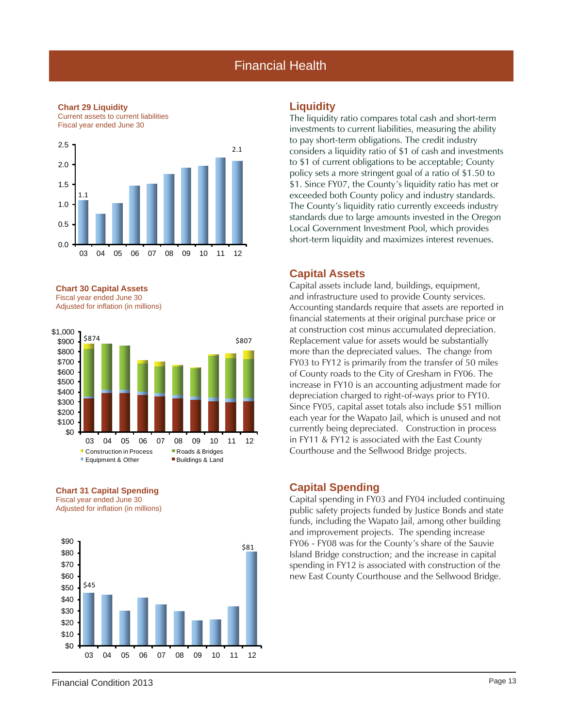### Financial Health

#### **Chart 29 Liquidity**

Current assets to current liabilities Fiscal year ended June 30 2.5



**Chart 30 Capital Assets** Fiscal year ended June 30 Adjusted for inflation (in millions)



**Chart 31 Capital Spending** Fiscal year ended June 30 Adjusted for inflation (in millions)



### **Liquidity**

The liquidity ratio compares total cash and short-term investments to current liabilities, measuring the ability to pay short-term obligations. The credit industry considers a liquidity ratio of \$1 of cash and investments to \$1 of current obligations to be acceptable; County policy sets a more stringent goal of a ratio of \$1.50 to \$1. Since FY07, the County's liquidity ratio has met or exceeded both County policy and industry standards. The County's liquidity ratio currently exceeds industry standards due to large amounts invested in the Oregon Local Government Investment Pool, which provides short-term liquidity and maximizes interest revenues.

#### **Capital Assets**

Capital assets include land, buildings, equipment, and infrastructure used to provide County services. Accounting standards require that assets are reported in financial statements at their original purchase price or at construction cost minus accumulated depreciation. Replacement value for assets would be substantially more than the depreciated values. The change from FY03 to FY12 is primarily from the transfer of 50 miles of County roads to the City of Gresham in FY06. The increase in FY10 is an accounting adjustment made for depreciation charged to right-of-ways prior to FY10. Since FY05, capital asset totals also include \$51 million each year for the Wapato Jail, which is unused and not currently being depreciated. Construction in process in FY11 & FY12 is associated with the East County Courthouse and the Sellwood Bridge projects.

#### **Capital Spending**

Capital spending in FY03 and FY04 included continuing public safety projects funded by Justice Bonds and state funds, including the Wapato Jail, among other building and improvement projects. The spending increase FY06 - FY08 was for the County's share of the Sauvie Island Bridge construction; and the increase in capital spending in FY12 is associated with construction of the new East County Courthouse and the Sellwood Bridge.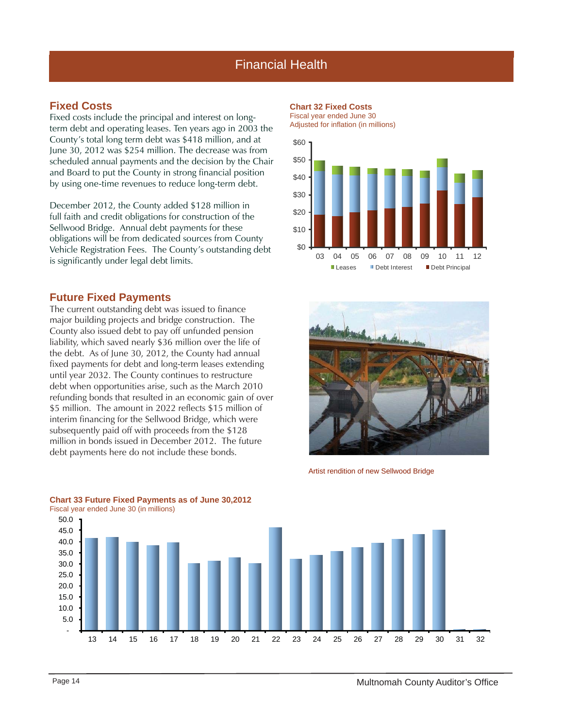## Financial Health

### **Fixed Costs**

Fixed costs include the principal and interest on longterm debt and operating leases. Ten years ago in 2003 the County's total long term debt was \$418 million, and at June 30, 2012 was \$254 million. The decrease was from scheduled annual payments and the decision by the Chair and Board to put the County in strong financial position by using one-time revenues to reduce long-term debt.

December 2012, the County added \$128 million in full faith and credit obligations for construction of the Sellwood Bridge. Annual debt payments for these obligations will be from dedicated sources from County Vehicle Registration Fees. The County's outstanding debt is significantly under legal debt limits.

### **Future Fixed Payments**

The current outstanding debt was issued to finance major building projects and bridge construction. The County also issued debt to pay off unfunded pension liability, which saved nearly \$36 million over the life of the debt. As of June 30, 2012, the County had annual fixed payments for debt and long-term leases extending until year 2032. The County continues to restructure debt when opportunities arise, such as the March 2010 refunding bonds that resulted in an economic gain of over \$5 million. The amount in 2022 reflects \$15 million of interim financing for the Sellwood Bridge, which were subsequently paid off with proceeds from the \$128 million in bonds issued in December 2012. The future debt payments here do not include these bonds.

**Chart 32 Fixed Costs** Fiscal year ended June 30

Adjusted for inflation (in millions)





Artist rendition of new Sellwood Bridge



## **Chart 33 Future Fixed Payments as of June 30,2012**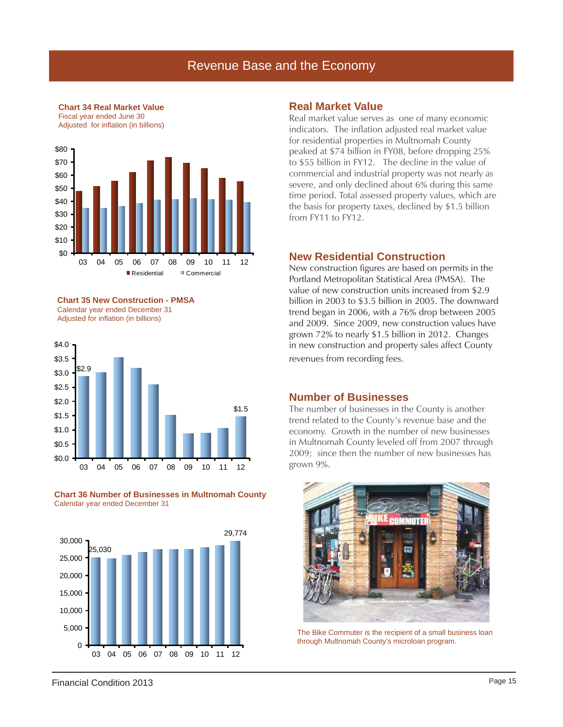### Revenue Base and the Economy



**Chart 35 New Construction - PMSA** Calendar year ended December 31 Adjusted for inflation (in billions)

**Chart 34 Real Market Value**



**Chart 36 Number of Businesses in Multnomah County** Calendar year ended December 31



### **Real Market Value**

Real market value serves as one of many economic indicators. The inflation adjusted real market value for residential properties in Multnomah County peaked at \$74 billion in FY08, before dropping 25% to \$55 billion in FY12. The decline in the value of commercial and industrial property was not nearly as severe, and only declined about 6% during this same time period. Total assessed property values, which are the basis for property taxes, declined by \$1.5 billion from FY11 to FY12.

### **New Residential Construction**

New construction figures are based on permits in the Portland Metropolitan Statistical Area (PMSA). The value of new construction units increased from \$2.9 billion in 2003 to \$3.5 billion in 2005. The downward trend began in 2006, with a 76% drop between 2005 and 2009. Since 2009, new construction values have grown 72% to nearly \$1.5 billion in 2012. Changes in new construction and property sales affect County revenues from recording fees.

### **Number of Businesses**

The number of businesses in the County is another trend related to the County's revenue base and the economy. Growth in the number of new businesses in Multnomah County leveled off from 2007 through 2009; since then the number of new businesses has grown 9%.



The Bike Commuter is the recipient of a small business loan through Multnomah County's microloan program.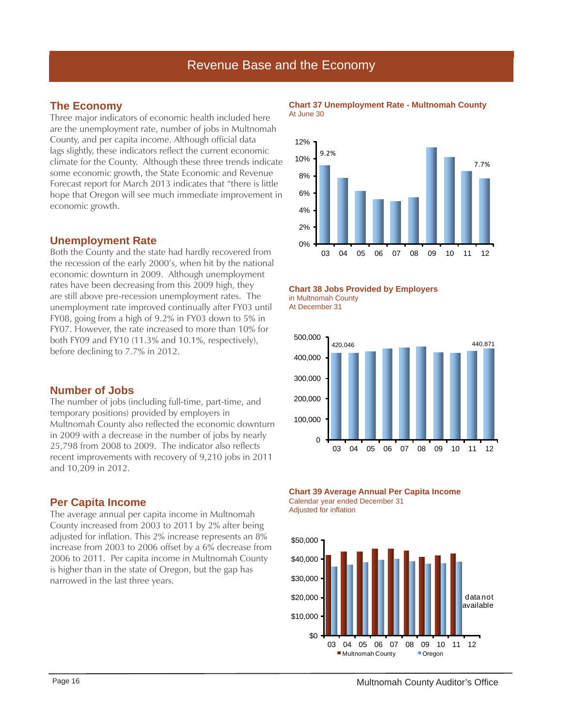## Revenue Base and the Economy

### **The Economy**

Three major indicators of economic health included here are the unemployment rate, number of jobs in Multnomah County, and per capita income. Although official data lags slightly, these indicators reflect the current economic climate for the County. Although these three trends indicate some economic growth, the State Economic and Revenue Forecast report for March 2013 indicates that "there is little hope that Oregon will see much immediate improvement in economic growth.

### **Unemployment Rate**

Both the County and the state had hardly recovered from the recession of the early 2000's, when hit by the national economic downturn in 2009. Although unemployment rates have been decreasing from this 2009 high, they are still above pre-recession unemployment rates. The unemployment rate improved continually after FY03 until FY08, going from a high of 9.2% in FY03 down to 5% in FY07. However, the rate increased to more than 10% for both FY09 and FY10 (11.3% and 10.1%, respectively), before declining to 7.7% in 2012.

### **Number of Jobs**

The number of jobs (including full-time, part-time, and temporary positions) provided by employers in Multnomah County also reflected the economic downturn in 2009 with a decrease in the number of jobs by nearly 25,798 from 2008 to 2009. The indicator also reflects recent improvements with recovery of 9,210 jobs in 2011 and 10,209 in 2012.

### **Per Capita Income**

The average annual per capita income in Multnomah County increased from 2003 to 2011 by 2% after being adjusted for inflation. This 2% increase represents an 8% increase from 2003 to 2006 offset by a 6% decrease from 2006 to 2011. Per capita income in Multnomah County is higher than in the state of Oregon, but the gap has narrowed in the last three years.

#### **Chart 37 Unemployment Rate - Multnomah County** At June 30





At December 31



**Chart 39 Average Annual Per Capita Income** Calendar year ended December 31 Adjusted for inflation

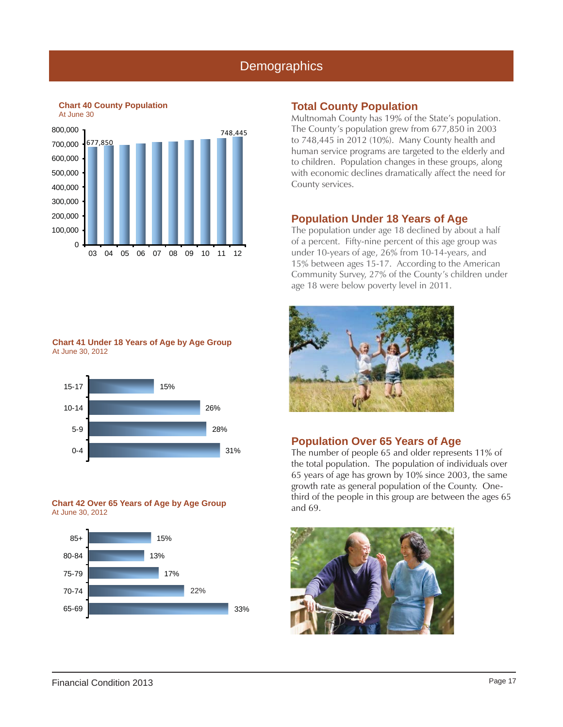## **Demographics**



### **Chart 41 Under 18 Years of Age by Age Group** At June 30, 2012



#### **Chart 42 Over 65 Years of Age by Age Group** At June 30, 2012



Multnomah County has 19% of the State's population. The County's population grew from 677,850 in 2003 to 748,445 in 2012 (10%). Many County health and human service programs are targeted to the elderly and to children. Population changes in these groups, along with economic declines dramatically affect the need for County services.

### **Population Under 18 Years of Age**

The population under age 18 declined by about a half of a percent. Fifty-nine percent of this age group was under 10-years of age, 26% from 10-14-years, and 15% between ages 15-17. According to the American Community Survey, 27% of the County's children under age 18 were below poverty level in 2011.



### **Population Over 65 Years of Age**

The number of people 65 and older represents 11% of the total population. The population of individuals over 65 years of age has grown by 10% since 2003, the same growth rate as general population of the County. Onethird of the people in this group are between the ages 65 and 69.

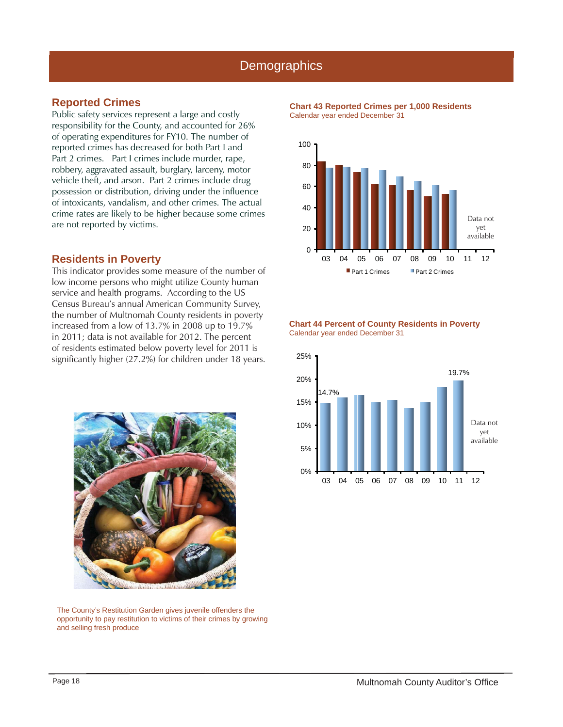### **Demographics**

### **Reported Crimes**

Public safety services represent a large and costly responsibility for the County, and accounted for 26% of operating expenditures for FY10. The number of reported crimes has decreased for both Part I and Part 2 crimes. Part I crimes include murder, rape, robbery, aggravated assault, burglary, larceny, motor vehicle theft, and arson. Part 2 crimes include drug possession or distribution, driving under the influence of intoxicants, vandalism, and other crimes. The actual crime rates are likely to be higher because some crimes are not reported by victims.

### **Residents in Poverty**

This indicator provides some measure of the number of low income persons who might utilize County human service and health programs. According to the US Census Bureau's annual American Community Survey, the number of Multnomah County residents in poverty increased from a low of 13.7% in 2008 up to 19.7% in 2011; data is not available for 2012. The percent of residents estimated below poverty level for 2011 is significantly higher (27.2%) for children under 18 years.



The County's Restitution Garden gives juvenile offenders the opportunity to pay restitution to victims of their crimes by growing and selling fresh produce





#### **Chart 44 Percent of County Residents in Poverty** Calendar year ended December 31

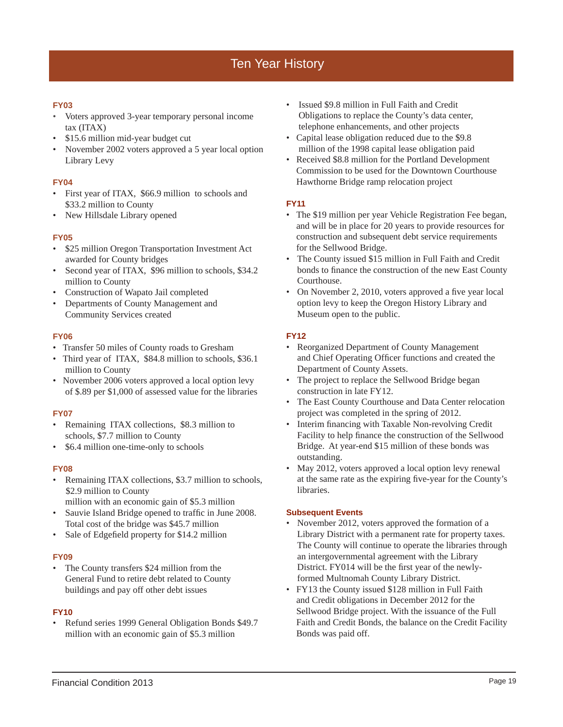### **FY03**

- Voters approved 3-year temporary personal income tax (ITAX)
- \$15.6 million mid-year budget cut
- November 2002 voters approved a 5 year local option Library Levy

### **FY04**

- First year of ITAX, \$66.9 million to schools and \$33.2 million to County
- New Hillsdale Library opened

### **FY05**

- \$25 million Oregon Transportation Investment Act awarded for County bridges
- Second year of ITAX, \$96 million to schools, \$34.2 million to County
- Construction of Wapato Jail completed
- Departments of County Management and Community Services created

#### **FY06**

- Transfer 50 miles of County roads to Gresham
- Third year of ITAX, \$84.8 million to schools, \$36.1 million to County
- November 2006 voters approved a local option levy of \$.89 per \$1,000 of assessed value for the libraries

#### **FY07**

- Remaining ITAX collections, \$8.3 million to schools, \$7.7 million to County
- \$6.4 million one-time-only to schools

#### **FY08**

- Remaining ITAX collections, \$3.7 million to schools, \$2.9 million to County
	- million with an economic gain of \$5.3 million
- Sauvie Island Bridge opened to traffic in June 2008. Total cost of the bridge was \$45.7 million
- Sale of Edgefield property for \$14.2 million

#### **FY09**

• The County transfers \$24 million from the General Fund to retire debt related to County buildings and pay off other debt issues

#### **FY10**

• Refund series 1999 General Obligation Bonds \$49.7 million with an economic gain of \$5.3 million

- Issued \$9.8 million in Full Faith and Credit Obligations to replace the County's data center, telephone enhancements, and other projects
- Capital lease obligation reduced due to the \$9.8 million of the 1998 capital lease obligation paid
- Received \$8.8 million for the Portland Development Commission to be used for the Downtown Courthouse Hawthorne Bridge ramp relocation project

### **FY11**

- The \$19 million per year Vehicle Registration Fee began, and will be in place for 20 years to provide resources for construction and subsequent debt service requirements for the Sellwood Bridge.
- The County issued \$15 million in Full Faith and Credit bonds to finance the construction of the new East County Courthouse.
- On November 2, 2010, voters approved a five year local option levy to keep the Oregon History Library and Museum open to the public.

### **FY12**

- Reorganized Department of County Management and Chief Operating Officer functions and created the Department of County Assets.
- The project to replace the Sellwood Bridge began construction in late FY12.
- The East County Courthouse and Data Center relocation project was completed in the spring of 2012.
- Interim financing with Taxable Non-revolving Credit Facility to help finance the construction of the Sellwood Bridge. At year-end \$15 million of these bonds was outstanding.
- May 2012, voters approved a local option levy renewal at the same rate as the expiring five-year for the County's libraries.

#### **Subsequent Events**

- November 2012, voters approved the formation of a Library District with a permanent rate for property taxes. The County will continue to operate the libraries through an intergovernmental agreement with the Library District. FY014 will be the first year of the newlyformed Multnomah County Library District.
- FY13 the County issued \$128 million in Full Faith and Credit obligations in December 2012 for the Sellwood Bridge project. With the issuance of the Full Faith and Credit Bonds, the balance on the Credit Facility Bonds was paid off.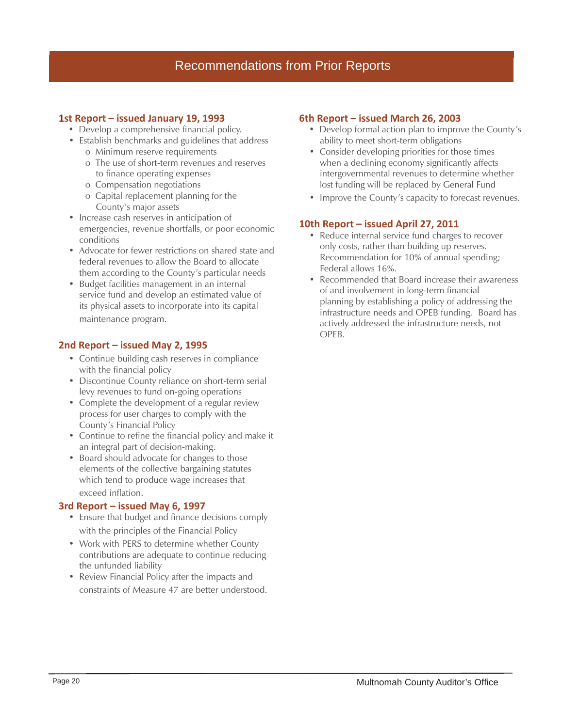## Recommendations from Prior Reports

### **1st Report – issued January 19, 1993**

- Develop a comprehensive financial policy.
- Establish benchmarks and guidelines that address
	- o Minimum reserve requirements
	- o The use of short-term revenues and reserves to finance operating expenses
	- o Compensation negotiations
	- o Capital replacement planning for the County's major assets
- Increase cash reserves in anticipation of emergencies, revenue shortfalls, or poor economic conditions
- Advocate for fewer restrictions on shared state and federal revenues to allow the Board to allocate them according to the County's particular needs
- Budget facilities management in an internal service fund and develop an estimated value of its physical assets to incorporate into its capital maintenance program.

### **2nd Report – issued May 2, 1995**

- Continue building cash reserves in compliance with the financial policy
- Discontinue County reliance on short-term serial levy revenues to fund on-going operations
- Complete the development of a regular review process for user charges to comply with the County's Financial Policy
- Continue to refine the financial policy and make it an integral part of decision-making.
- Board should advocate for changes to those elements of the collective bargaining statutes which tend to produce wage increases that exceed inflation.

### **3rd Report – issued May 6, 1997**

- Ensure that budget and finance decisions comply with the principles of the Financial Policy
- •Work with PERS to determine whether County contributions are adequate to continue reducing the unfunded liability
- Review Financial Policy after the impacts and constraints of Measure 47 are better understood.

### **6th Report – issued March 26, 2003**

- Develop formal action plan to improve the County's ability to meet short-term obligations
- Consider developing priorities for those times when a declining economy significantly affects intergovernmental revenues to determine whether lost funding will be replaced by General Fund
- Improve the County's capacity to forecast revenues.

### **10th Report – issued April 27, 2011**

- Reduce internal service fund charges to recover only costs, rather than building up reserves. Recommendation for 10% of annual spending; Federal allows 16%.
- Recommended that Board increase their awareness of and involvement in long-term financial planning by establishing a policy of addressing the infrastructure needs and OPEB funding. Board has actively addressed the infrastructure needs, not OPEB.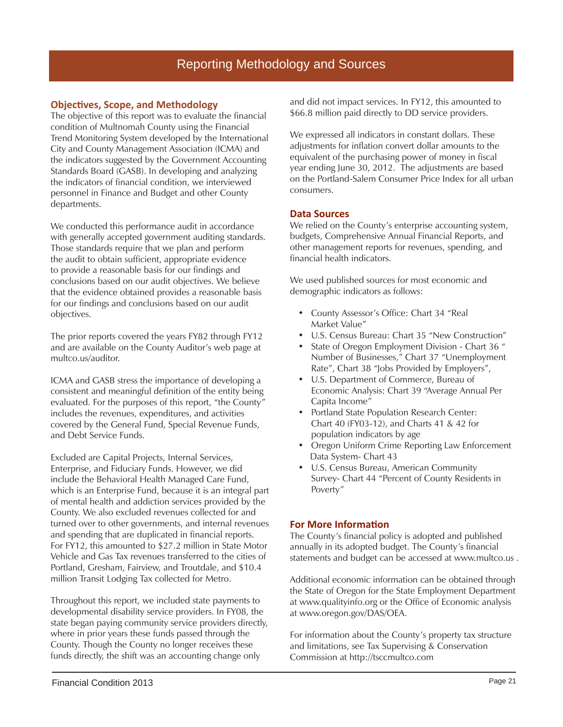### **Objecti ves, Scope, and Methodology**

The objective of this report was to evaluate the financial condition of Multnomah County using the Financial Trend Monitoring System developed by the International City and County Management Association (ICMA) and the indicators suggested by the Government Accounting Standards Board (GASB). In developing and analyzing the indicators of financial condition, we interviewed personnel in Finance and Budget and other County departments.

We conducted this performance audit in accordance with generally accepted government auditing standards. Those standards require that we plan and perform the audit to obtain sufficient, appropriate evidence to provide a reasonable basis for our findings and conclusions based on our audit objectives. We believe that the evidence obtained provides a reasonable basis for our findings and conclusions based on our audit objectives.

The prior reports covered the years FY82 through FY12 and are available on the County Auditor's web page at multco.us/auditor.

ICMA and GASB stress the importance of developing a consistent and meaningful definition of the entity being evaluated. For the purposes of this report, "the County" includes the revenues, expenditures, and activities covered by the General Fund, Special Revenue Funds, and Debt Service Funds.

Excluded are Capital Projects, Internal Services, Enterprise, and Fiduciary Funds. However, we did include the Behavioral Health Managed Care Fund, which is an Enterprise Fund, because it is an integral part of mental health and addiction services provided by the County. We also excluded revenues collected for and turned over to other governments, and internal revenues and spending that are duplicated in financial reports. For FY12, this amounted to \$27.2 million in State Motor Vehicle and Gas Tax revenues transferred to the cities of Portland, Gresham, Fairview, and Troutdale, and \$10.4 million Transit Lodging Tax collected for Metro.

Throughout this report, we included state payments to developmental disability service providers. In FY08, the state began paying community service providers directly, where in prior years these funds passed through the County. Though the County no longer receives these funds directly, the shift was an accounting change only

and did not impact services. In FY12, this amounted to \$66.8 million paid directly to DD service providers.

We expressed all indicators in constant dollars. These adjustments for inflation convert dollar amounts to the equivalent of the purchasing power of money in fiscal year ending June 30, 2012. The adjustments are based on the Portland-Salem Consumer Price Index for all urban consumers.

### **Data Sources**

We relied on the County's enterprise accounting system, budgets, Comprehensive Annual Financial Reports, and other management reports for revenues, spending, and financial health indicators.

We used published sources for most economic and demographic indicators as follows:

- County Assessor's Office: Chart 34 "Real Market Value"
- U.S. Census Bureau: Chart 35 "New Construction"
- State of Oregon Employment Division Chart 36 " Number of Businesses," Chart 37 "Unemployment Rate", Chart 38 "Jobs Provided by Employers",
- U.S. Department of Commerce, Bureau of Economic Analysis: Chart 39 "Average Annual Per Capita Income"
- Portland State Population Research Center: Chart 40 (FY03-12), and Charts 41 & 42 for population indicators by age
- Oregon Uniform Crime Reporting Law Enforcement Data System- Chart 43
- U.S. Census Bureau, American Community Survey- Chart 44 "Percent of County Residents in Poverty"

### **For More Information**

The County's financial policy is adopted and published annually in its adopted budget. The County's financial statements and budget can be accessed at www.multco.us .

Additional economic information can be obtained through the State of Oregon for the State Employment Department at www.qualityinfo.org or the Office of Economic analysis at www.oregon.gov/DAS/OEA.

For information about the County's property tax structure and limitations, see Tax Supervising & Conservation Commission at http://tsccmultco.com